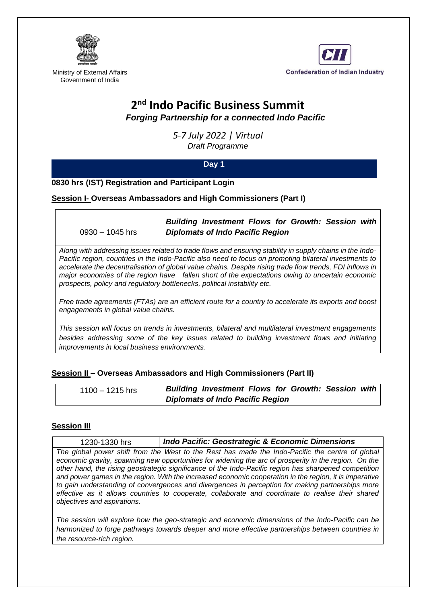



Ministry of External Affairs Government of India

# **2 nd Indo Pacific Business Summit**

*Forging Partnership for a connected Indo Pacific*

*5-7 July 2022 | Virtual Draft Programme*

# **Day 1**

**0830 hrs (IST) Registration and Participant Login**

**Session I- Overseas Ambassadors and High Commissioners (Part I)** 

0930 – 1045 hrs

*Building Investment Flows for Growth: Session with Diplomats of Indo Pacific Region*

*Along with addressing issues related to trade flows and ensuring stability in supply chains in the Indo-Pacific region, countries in the Indo-Pacific also need to focus on promoting bilateral investments to accelerate the decentralisation of global value chains. Despite rising trade flow trends, FDI inflows in major economies of the region have fallen short of the expectations owing to uncertain economic prospects, policy and regulatory bottlenecks, political instability etc.* 

*Free trade agreements (FTAs) are an efficient route for a country to accelerate its exports and boost engagements in global value chains.* 

*This session will focus on trends in investments, bilateral and multilateral investment engagements besides addressing some of the key issues related to building investment flows and initiating improvements in local business environments.*

# **Session II – Overseas Ambassadors and High Commissioners (Part II)**

| $1100 - 1215$ hrs | <b>Building Investment Flows for Growth: Session with</b> |  |
|-------------------|-----------------------------------------------------------|--|
|                   | Diplomats of Indo Pacific Region                          |  |

# **Session III**

1230-1330 hrs *Indo Pacific: Geostrategic & Economic Dimensions*

*The global power shift from the West to the Rest has made the Indo-Pacific the centre of global economic gravity, spawning new opportunities for widening the arc of prosperity in the region.* On the *other hand, the rising geostrategic significance of the Indo-Pacific region has sharpened competition*  and power games in the region. With the increased economic cooperation in the region, it is imperative *to gain understanding of convergences and divergences in perception for making partnerships more effective as it allows countries to cooperate, collaborate and coordinate to realise their shared objectives and aspirations.* 

*The session will explore how the geo-strategic and economic dimensions of the Indo-Pacific can be harmonized to forge pathways towards deeper and more effective partnerships between countries in the resource-rich region.*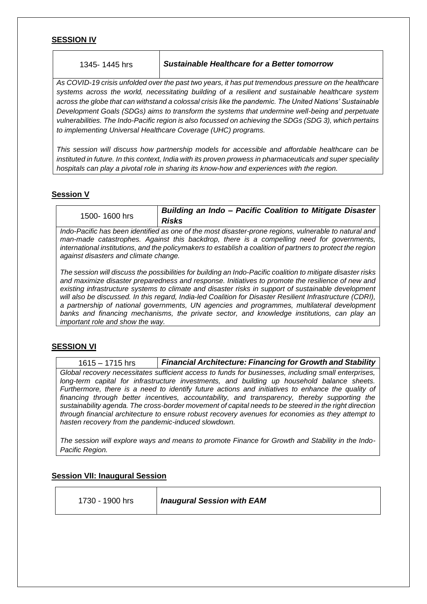#### **SESSION IV**

*As COVID-19 crisis unfolded over the past two years, it has put tremendous pressure on the healthcare systems across the world, necessitating building of a resilient and sustainable healthcare system across the globe that can withstand a colossal crisis like the pandemic. The United Nations' Sustainable Development Goals (SDGs) aims to transform the systems that undermine well-being and perpetuate vulnerabilities. The Indo-Pacific region is also focussed on achieving the SDGs (SDG 3), which pertains to implementing Universal Healthcare Coverage (UHC) programs.* 

*This session will discuss how partnership models for accessible and affordable healthcare can be instituted in future. In this context, India with its proven prowess in pharmaceuticals and super speciality hospitals can play a pivotal role in sharing its know-how and experiences with the region.* 

# **Session V**

1500- 1600 hrs *Building an Indo – Pacific Coalition to Mitigate Disaster Risks*

*Indo-Pacific has been identified as one of the most disaster-prone regions, vulnerable to natural and man-made catastrophes. Against this backdrop, there is a compelling need for governments, international institutions, and the policymakers to establish a coalition of partners to protect the region against disasters and climate change.*

*The session will discuss the possibilities for building an Indo-Pacific coalition to mitigate disaster risks and maximize disaster preparedness and response. Initiatives to promote the resilience of new and existing infrastructure systems to climate and disaster risks in support of sustainable development will also be discussed. In this regard, India-led Coalition for Disaster Resilient Infrastructure (CDRI), a partnership of national governments, UN agencies and programmes, multilateral development banks and financing mechanisms, the private sector, and knowledge institutions, can play an important role and show the way.*

# **SESSION VI**

1615 – 1715 hrs *Financial Architecture: Financing for Growth and Stability Global recovery necessitates sufficient access to funds for businesses, including small enterprises, long-term capital for infrastructure investments, and building up household balance sheets. Furthermore, there is a need to identify future actions and initiatives to enhance the quality of financing through better incentives, accountability, and transparency, thereby supporting the sustainability agenda. The cross-border movement of capital needs to be steered in the right direction through financial architecture to ensure robust recovery avenues for economies as they attempt to hasten recovery from the pandemic-induced slowdown.* 

*The session will explore ways and means to promote Finance for Growth and Stability in the Indo-Pacific Region.*

# **Session VII: Inaugural Session**

1730 - 1900 hrs *Inaugural Session with EAM*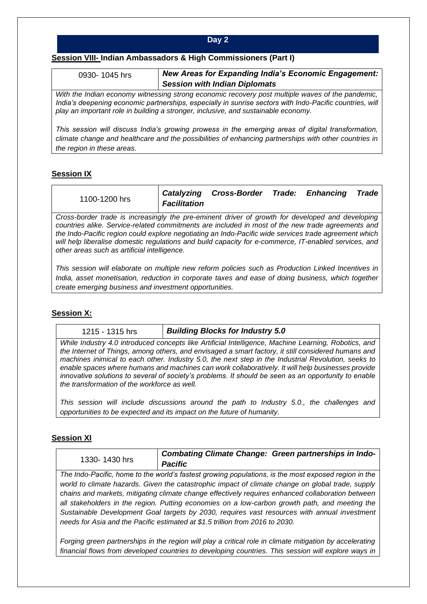#### **Day 2**

#### **Session VIII- Indian Ambassadors & High Commissioners (Part I)**

0930- 1045 hrs *New Areas for Expanding India's Economic Engagement: Session with Indian Diplomats*

*With the Indian economy witnessing strong economic recovery post multiple waves of the pandemic, India's deepening economic partnerships, especially in sunrise sectors with Indo-Pacific countries, will play an important role in building a stronger, inclusive, and sustainable economy.* 

*This session will discuss India's growing prowess in the emerging areas of digital transformation, climate change and healthcare and the possibilities of enhancing partnerships with other countries in the region in these areas.*

#### **Session IX**

| 1100-1200 hrs                                                                                    | <b>Facilitation</b> | Catalyzing Cross-Border Trade: Enhancing |  | <b>Trade</b> |
|--------------------------------------------------------------------------------------------------|---------------------|------------------------------------------|--|--------------|
| Cross-border trade is increasingly the pre-eminent driver of growth for developed and developing |                     |                                          |  |              |

*countries alike. Service-related commitments are included in most of the new trade agreements and the Indo-Pacific region could explore negotiating an Indo-Pacific wide services trade agreement which will help liberalise domestic regulations and build capacity for e-commerce, IT-enabled services, and other areas such as artificial intelligence.*

*This session will elaborate on multiple new reform policies such as Production Linked Incentives in India, asset monetisation, reduction in corporate taxes and ease of doing business, which together create emerging business and investment opportunities.*

#### **Session X:**

1215 - 1315 hrs *Building Blocks for Industry 5.0*

*While Industry 4.0 introduced concepts like Artificial Intelligence, Machine Learning, Robotics, and the Internet of Things, among others, and envisaged a smart factory, it still considered humans and machines inimical to each other. Industry 5.0, the next step in the Industrial Revolution, seeks to enable spaces where humans and machines can work collaboratively. It will help businesses provide innovative solutions to several of society's problems. It should be seen as an opportunity to enable the transformation of the workforce as well.* 

*This session will include discussions around the path to Industry 5.0., the challenges and opportunities to be expected and its impact on the future of humanity.*

#### **Session XI**

| 1330-1430 hrs | <b>Combating Climate Change: Green partnerships in Indo-</b><br><b>Pacific</b>                                                                                                                                                                                                                                                                                                                                                                                                                                                                                                                    |
|---------------|---------------------------------------------------------------------------------------------------------------------------------------------------------------------------------------------------------------------------------------------------------------------------------------------------------------------------------------------------------------------------------------------------------------------------------------------------------------------------------------------------------------------------------------------------------------------------------------------------|
|               | The Indo-Pacific, home to the world's fastest growing populations, is the most exposed region in the<br>world to climate hazards. Given the catastrophic impact of climate change on global trade, supply<br>chains and markets, mitigating climate change effectively requires enhanced collaboration between<br>all stakeholders in the region. Putting economies on a low-carbon growth path, and meeting the<br>Sustainable Development Goal targets by 2030, requires vast resources with annual investment<br>needs for Asia and the Pacific estimated at \$1.5 trillion from 2016 to 2030. |
|               | Forging green partnerships in the region will play a critical role in climate mitigation by accelerating<br>financial flows from developed countries to developing countries. This session will explore ways in                                                                                                                                                                                                                                                                                                                                                                                   |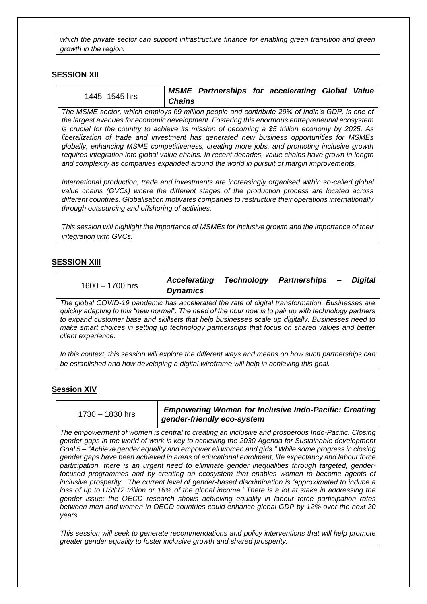*which the private sector can support infrastructure finance for enabling green transition and green growth in the region.*

#### **SESSION XII**

|                                                                                                                                                                                                                                                                                                                                                                                                                                                                                                                                                                                                                                                                                                      |               | <b>MSME Partnerships for accelerating Global Value</b> |  |  |
|------------------------------------------------------------------------------------------------------------------------------------------------------------------------------------------------------------------------------------------------------------------------------------------------------------------------------------------------------------------------------------------------------------------------------------------------------------------------------------------------------------------------------------------------------------------------------------------------------------------------------------------------------------------------------------------------------|---------------|--------------------------------------------------------|--|--|
| 1445 -1545 hrs                                                                                                                                                                                                                                                                                                                                                                                                                                                                                                                                                                                                                                                                                       | <b>Chains</b> |                                                        |  |  |
| The MSME sector, which employs 69 million people and contribute 29% of India's GDP, is one of<br>the largest avenues for economic development. Fostering this enormous entrepreneurial ecosystem<br>is crucial for the country to achieve its mission of becoming a \$5 trillion economy by 2025. As<br>liberalization of trade and investment has generated new business opportunities for MSMEs<br>globally, enhancing MSME competitiveness, creating more jobs, and promoting inclusive growth<br>requires integration into global value chains. In recent decades, value chains have grown in length<br>and complexity as companies expanded around the world in pursuit of margin improvements. |               |                                                        |  |  |
| International production, trade and investments are increasingly organised within so-called global<br>value chains (GVCs) where the different stages of the production process are located across<br>different countries. Globalisation motivates companies to restructure their operations internationally<br>through outsourcing and offshoring of activities.                                                                                                                                                                                                                                                                                                                                     |               |                                                        |  |  |
| This session will highlight the importance of MSMEs for inclusive growth and the importance of their<br>integration with GVCs.                                                                                                                                                                                                                                                                                                                                                                                                                                                                                                                                                                       |               |                                                        |  |  |

# **SESSION XIII**

| $1600 - 1700$ hrs                                                                               | <b>Accelerating</b><br><b>Dynamics</b> | <b>Technology</b> | Partnerships – | Diaital |
|-------------------------------------------------------------------------------------------------|----------------------------------------|-------------------|----------------|---------|
| The global COVID-19 pandemic has accelerated the rate of digital transformation. Businesses are |                                        |                   |                |         |

*quickly adapting to this "new normal". The need of the hour now is to pair up with technology partners to expand customer base and skillsets that help businesses scale up digitally. Businesses need to make smart choices in setting up technology partnerships that focus on shared values and better client experience.* 

*In this context, this session will explore the different ways and means on how such partnerships can be established and how developing a digital wireframe will help in achieving this goal.*

# **Session XIV**

| 1730 - 1830 hrs | <b>Empowering Women for Inclusive Indo-Pacific: Creating</b> |
|-----------------|--------------------------------------------------------------|
|                 | gender-friendly eco-system                                   |

*The empowerment of women is central to creating an inclusive and prosperous Indo-Pacific. Closing gender gaps in the world of work is key to achieving the 2030 Agenda for Sustainable development Goal 5 – "Achieve gender equality and empower all women and girls." While some progress in closing gender gaps have been achieved in areas of educational enrolment, life expectancy and labour force participation, there is an urgent need to eliminate gender inequalities through targeted, genderfocused programmes and by creating an ecosystem that enables women to become agents of inclusive prosperity. The current level of gender-based discrimination is 'approximated to induce a* loss of up to US\$12 trillion or 16% of the global income.' There is a lot at stake in addressing the *gender issue: the OECD research shows achieving equality in labour force participation rates between men and women in OECD countries could enhance global GDP by 12% over the next 20 years.*

*This session will seek to generate recommendations and policy interventions that will help promote greater gender equality to foster inclusive growth and shared prosperity.*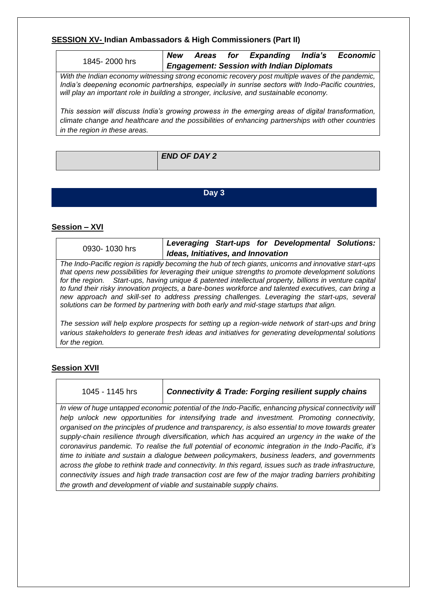#### **SESSION XV- Indian Ambassadors & High Commissioners (Part II)**

|                                                                                                                                                                                                                                                                                                    |  | New Areas for Expanding India's Economic         |  |
|----------------------------------------------------------------------------------------------------------------------------------------------------------------------------------------------------------------------------------------------------------------------------------------------------|--|--------------------------------------------------|--|
| 1845-2000 hrs                                                                                                                                                                                                                                                                                      |  | <b>Engagement: Session with Indian Diplomats</b> |  |
| With the Indian economy witnessing strong economic recovery post multiple waves of the pandemic,<br>India's deepening economic partnerships, especially in sunrise sectors with Indo-Pacific countries,<br>will play an important role in building a stronger, inclusive, and sustainable economy. |  |                                                  |  |
| This session will discuss India's growing prowess in the emerging areas of digital transformation,<br>climate change and healthcare and the possibilities of enhancing partnerships with other countries<br>in the region in these areas.                                                          |  |                                                  |  |

| <b>END OF DAY 2</b> |
|---------------------|
|                     |
|                     |
|                     |

**Day 3**

# **Session – XVI**

| 0930-1030 hrs                                                                                                                                                                                                                                                                                                                                                                                                                                                                                                                                                                                                              | Ideas, Initiatives, and Innovation |  | Leveraging Start-ups for Developmental Solutions: |  |
|----------------------------------------------------------------------------------------------------------------------------------------------------------------------------------------------------------------------------------------------------------------------------------------------------------------------------------------------------------------------------------------------------------------------------------------------------------------------------------------------------------------------------------------------------------------------------------------------------------------------------|------------------------------------|--|---------------------------------------------------|--|
| The Indo-Pacific region is rapidly becoming the hub of tech giants, unicorns and innovative start-ups<br>that opens new possibilities for leveraging their unique strengths to promote development solutions<br>for the region. Start-ups, having unique & patented intellectual property, billions in venture capital<br>to fund their risky innovation projects, a bare-bones workforce and talented executives, can bring a<br>new approach and skill-set to address pressing challenges. Leveraging the start-ups, several<br>solutions can be formed by partnering with both early and mid-stage startups that align. |                                    |  |                                                   |  |
| The session will help explore prospects for setting up a region-wide network of start-ups and bring<br>various stakeholders to generate fresh ideas and initiatives for generating developmental solutions<br>for the region.                                                                                                                                                                                                                                                                                                                                                                                              |                                    |  |                                                   |  |

# **Session XVII**

| 1045 - 1145 hrs |  |  |  |
|-----------------|--|--|--|
|                 |  |  |  |

**Connectivity & Trade: Forging resilient supply chains** 

*In view of huge untapped economic potential of the Indo-Pacific, enhancing physical connectivity will help unlock new opportunities for intensifying trade and investment. Promoting connectivity, organised on the principles of prudence and transparency, is also essential to move towards greater supply-chain resilience through diversification, which has acquired an urgency in the wake of the coronavirus pandemic. To realise the full potential of economic integration in the Indo-Pacific, it's time to initiate and sustain a dialogue between policymakers, business leaders, and governments across the globe to rethink trade and connectivity. In this regard, issues such as trade infrastructure, connectivity issues and high trade transaction cost are few of the major trading barriers prohibiting the growth and development of viable and sustainable supply chains.*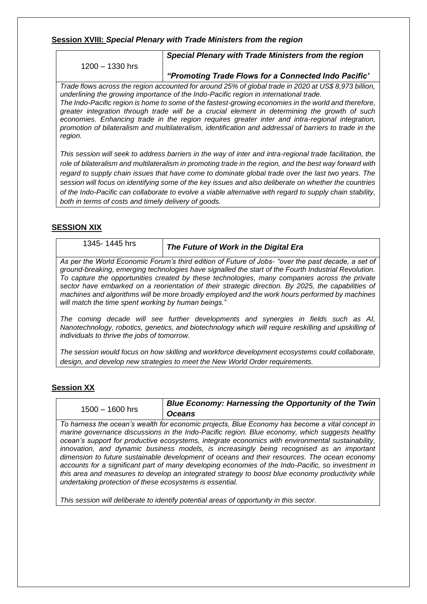#### **Session XVIII:** *Special Plenary with Trade Ministers from the region*

1200 – 1330 hrs

*Special Plenary with Trade Ministers from the region*

#### *"Promoting Trade Flows for a Connected Indo Pacific'*

*Trade flows across the region accounted for around 25% of global trade in 2020 at US\$ 8,973 billion, underlining the growing importance of the Indo-Pacific region in international trade. The Indo-Pacific region is home to some of the fastest-growing economies in the world and therefore, greater integration through trade will be a crucial element in determining the growth of such economies. Enhancing trade in the region requires greater inter and intra-regional integration, promotion of bilateralism and multilateralism, identification and addressal of barriers to trade in the region.* 

*This session will seek to address barriers in the way of inter and intra-regional trade facilitation, the role of bilateralism and multilateralism in promoting trade in the region, and the best way forward with regard to supply chain issues that have come to dominate global trade over the last two years. The session will focus on identifying some of the key issues and also deliberate on whether the countries of the Indo-Pacific can collaborate to evolve a viable alternative with regard to supply chain stability, both in terms of costs and timely delivery of goods.*

# **SESSION XIX**

# 1345- <sup>1445</sup> hrs *The Future of Work in the Digital Era*

*As per the World Economic Forum's third edition of Future of Jobs- "over the past decade, a set of ground-breaking, emerging technologies have signalled the start of the Fourth Industrial Revolution. To capture the opportunities created by these technologies, many companies across the private sector have embarked on a reorientation of their strategic direction. By 2025, the capabilities of machines and algorithms will be more broadly employed and the work hours performed by machines will match the time spent working by human beings."*

*The coming decade will see further developments and synergies in fields such as AI, Nanotechnology, robotics, genetics, and biotechnology which will require reskilling and upskilling of individuals to thrive the jobs of tomorrow.*

*The session would focus on how skilling and workforce development ecosystems could collaborate, design, and develop new strategies to meet the New World Order requirements.*

# **Session XX**

1500 – 1600 hrs

*Blue Economy: Harnessing the Opportunity of the Twin Oceans*

*To harness the ocean's wealth for economic projects, Blue Economy has become a vital concept in marine governance discussions in the Indo-Pacific region. Blue economy, which suggests healthy ocean's support for productive ecosystems, integrate economics with environmental sustainability, innovation, and dynamic business models, is increasingly being recognised as an important dimension to future sustainable development of oceans and their resources. The ocean economy accounts for a significant part of many developing economies of the Indo-Pacific, so investment in this area and measures to develop an integrated strategy to boost blue economy productivity while undertaking protection of these ecosystems is essential.* 

*This session will deliberate to identify potential areas of opportunity in this sector.*